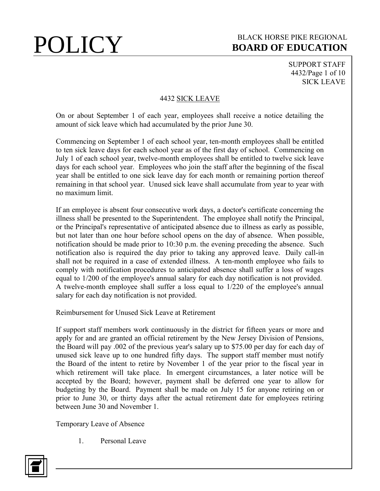SUPPORT STAFF 4432/Page 1 of 10 SICK LEAVE

### 4432 SICK LEAVE

On or about September 1 of each year, employees shall receive a notice detailing the amount of sick leave which had accumulated by the prior June 30.

Commencing on September 1 of each school year, ten-month employees shall be entitled to ten sick leave days for each school year as of the first day of school. Commencing on July 1 of each school year, twelve-month employees shall be entitled to twelve sick leave days for each school year. Employees who join the staff after the beginning of the fiscal year shall be entitled to one sick leave day for each month or remaining portion thereof remaining in that school year. Unused sick leave shall accumulate from year to year with no maximum limit.

If an employee is absent four consecutive work days, a doctor's certificate concerning the illness shall be presented to the Superintendent. The employee shall notify the Principal, or the Principal's representative of anticipated absence due to illness as early as possible, but not later than one hour before school opens on the day of absence. When possible, notification should be made prior to 10:30 p.m. the evening preceding the absence. Such notification also is required the day prior to taking any approved leave. Daily call-in shall not be required in a case of extended illness. A ten-month employee who fails to comply with notification procedures to anticipated absence shall suffer a loss of wages equal to 1/200 of the employee's annual salary for each day notification is not provided. A twelve-month employee shall suffer a loss equal to 1/220 of the employee's annual salary for each day notification is not provided.

Reimbursement for Unused Sick Leave at Retirement

If support staff members work continuously in the district for fifteen years or more and apply for and are granted an official retirement by the New Jersey Division of Pensions, the Board will pay .002 of the previous year's salary up to \$75.00 per day for each day of unused sick leave up to one hundred fifty days. The support staff member must notify the Board of the intent to retire by November 1 of the year prior to the fiscal year in which retirement will take place. In emergent circumstances, a later notice will be accepted by the Board; however, payment shall be deferred one year to allow for budgeting by the Board. Payment shall be made on July 15 for anyone retiring on or prior to June 30, or thirty days after the actual retirement date for employees retiring between June 30 and November 1.

Temporary Leave of Absence

1. Personal Leave

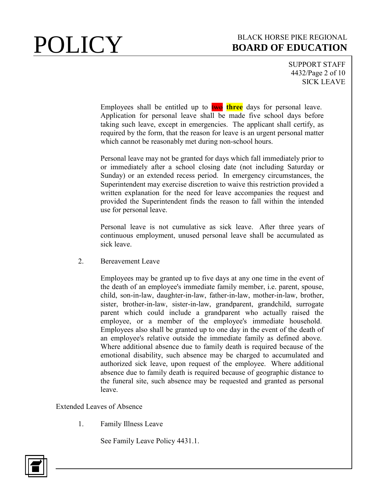## **POLICY** BOARD OF EDUCATION **BOARD OF EDUCATION**

SUPPORT STAFF 4432/Page 2 of 10 SICK LEAVE

Employees shall be entitled up to **two three** days for personal leave. Application for personal leave shall be made five school days before taking such leave, except in emergencies. The applicant shall certify, as required by the form, that the reason for leave is an urgent personal matter which cannot be reasonably met during non-school hours.

Personal leave may not be granted for days which fall immediately prior to or immediately after a school closing date (not including Saturday or Sunday) or an extended recess period. In emergency circumstances, the Superintendent may exercise discretion to waive this restriction provided a written explanation for the need for leave accompanies the request and provided the Superintendent finds the reason to fall within the intended use for personal leave.

Personal leave is not cumulative as sick leave. After three years of continuous employment, unused personal leave shall be accumulated as sick leave.

2. Bereavement Leave

Employees may be granted up to five days at any one time in the event of the death of an employee's immediate family member, i.e. parent, spouse, child, son-in-law, daughter-in-law, father-in-law, mother-in-law, brother, sister, brother-in-law, sister-in-law, grandparent, grandchild, surrogate parent which could include a grandparent who actually raised the employee, or a member of the employee's immediate household. Employees also shall be granted up to one day in the event of the death of an employee's relative outside the immediate family as defined above. Where additional absence due to family death is required because of the emotional disability, such absence may be charged to accumulated and authorized sick leave, upon request of the employee. Where additional absence due to family death is required because of geographic distance to the funeral site, such absence may be requested and granted as personal leave.

Extended Leaves of Absence

1. Family Illness Leave

See Family Leave Policy 4431.1.

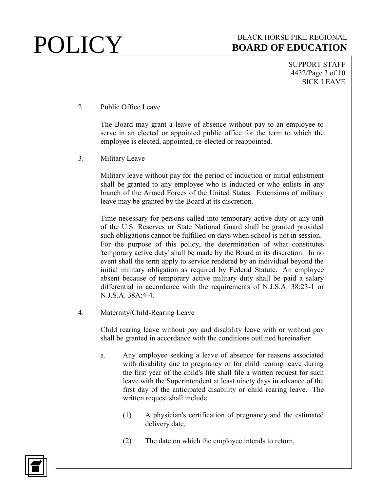SUPPORT STAFF 4432/Page 3 of 10 SICK LEAVE

2. Public Office Leave

The Board may grant a leave of absence without pay to an employee to serve in an elected or appointed public office for the term to which the employee is elected, appointed, re-elected or reappointed.

3. Military Leave

Military leave without pay for the period of induction or initial enlistment shall be granted to any employee who is inducted or who enlists in any branch of the Armed Forces of the United States. Extensions of military leave may be granted by the Board at its discretion.

Time necessary for persons called into temporary active duty or any unit of the U.S. Reserves or State National Guard shall be granted provided such obligations cannot be fulfilled on days when school is not in session. For the purpose of this policy, the determination of what constitutes 'temporary active duty' shall be made by the Board at its discretion. In no event shall the term apply to service rendered by an individual beyond the initial military obligation as required by Federal Statute. An employee absent because of temporary active military duty shall be paid a salary differential in accordance with the requirements of N.J.S.A. 38:23-1 or N.J.S.A. 38A:4-4.

4. Maternity/Child-Rearing Leave

Child rearing leave without pay and disability leave with or without pay shall be granted in accordance with the conditions outlined hereinafter:

- a. Any employee seeking a leave of absence for reasons associated with disability due to pregnancy or for child rearing leave during the first year of the child's life shall file a written request for such leave with the Superintendent at least ninety days in advance of the first day of the anticipated disability or child rearing leave. The written request shall include:
	- (1) A physician's certification of pregnancy and the estimated delivery date,
	- (2) The date on which the employee intends to return,

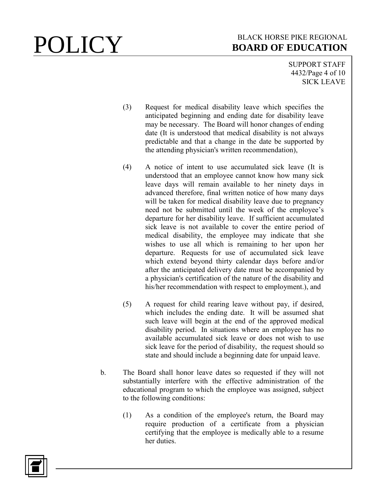SUPPORT STAFF 4432/Page 4 of 10 SICK LEAVE

- (3) Request for medical disability leave which specifies the anticipated beginning and ending date for disability leave may be necessary. The Board will honor changes of ending date (It is understood that medical disability is not always predictable and that a change in the date be supported by the attending physician's written recommendation),
- (4) A notice of intent to use accumulated sick leave (It is understood that an employee cannot know how many sick leave days will remain available to her ninety days in advanced therefore, final written notice of how many days will be taken for medical disability leave due to pregnancy need not be submitted until the week of the employee's departure for her disability leave. If sufficient accumulated sick leave is not available to cover the entire period of medical disability, the employee may indicate that she wishes to use all which is remaining to her upon her departure. Requests for use of accumulated sick leave which extend beyond thirty calendar days before and/or after the anticipated delivery date must be accompanied by a physician's certification of the nature of the disability and his/her recommendation with respect to employment.), and
- (5) A request for child rearing leave without pay, if desired, which includes the ending date. It will be assumed shat such leave will begin at the end of the approved medical disability period. In situations where an employee has no available accumulated sick leave or does not wish to use sick leave for the period of disability, the request should so state and should include a beginning date for unpaid leave.
- b. The Board shall honor leave dates so requested if they will not substantially interfere with the effective administration of the educational program to which the employee was assigned, subject to the following conditions:
	- (1) As a condition of the employee's return, the Board may require production of a certificate from a physician certifying that the employee is medically able to a resume her duties.

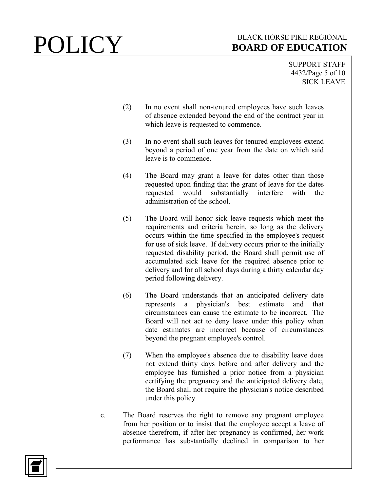SUPPORT STAFF 4432/Page 5 of 10 SICK LEAVE

- (2) In no event shall non-tenured employees have such leaves of absence extended beyond the end of the contract year in which leave is requested to commence.
- (3) In no event shall such leaves for tenured employees extend beyond a period of one year from the date on which said leave is to commence.
- (4) The Board may grant a leave for dates other than those requested upon finding that the grant of leave for the dates requested would substantially interfere with the administration of the school.
- (5) The Board will honor sick leave requests which meet the requirements and criteria herein, so long as the delivery occurs within the time specified in the employee's request for use of sick leave. If delivery occurs prior to the initially requested disability period, the Board shall permit use of accumulated sick leave for the required absence prior to delivery and for all school days during a thirty calendar day period following delivery.
- (6) The Board understands that an anticipated delivery date represents a physician's best estimate and that circumstances can cause the estimate to be incorrect. The Board will not act to deny leave under this policy when date estimates are incorrect because of circumstances beyond the pregnant employee's control.
- (7) When the employee's absence due to disability leave does not extend thirty days before and after delivery and the employee has furnished a prior notice from a physician certifying the pregnancy and the anticipated delivery date, the Board shall not require the physician's notice described under this policy.
- c. The Board reserves the right to remove any pregnant employee from her position or to insist that the employee accept a leave of absence therefrom, if after her pregnancy is confirmed, her work performance has substantially declined in comparison to her

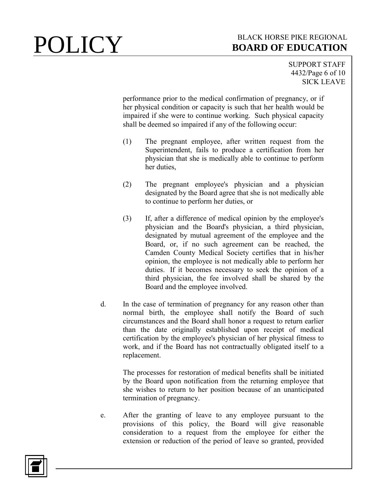SUPPORT STAFF 4432/Page 6 of 10 SICK LEAVE

performance prior to the medical confirmation of pregnancy, or if her physical condition or capacity is such that her health would be impaired if she were to continue working. Such physical capacity shall be deemed so impaired if any of the following occur:

- (1) The pregnant employee, after written request from the Superintendent, fails to produce a certification from her physician that she is medically able to continue to perform her duties,
- (2) The pregnant employee's physician and a physician designated by the Board agree that she is not medically able to continue to perform her duties, or
- (3) If, after a difference of medical opinion by the employee's physician and the Board's physician, a third physician, designated by mutual agreement of the employee and the Board, or, if no such agreement can be reached, the Camden County Medical Society certifies that in his/her opinion, the employee is not medically able to perform her duties. If it becomes necessary to seek the opinion of a third physician, the fee involved shall be shared by the Board and the employee involved.
- d. In the case of termination of pregnancy for any reason other than normal birth, the employee shall notify the Board of such circumstances and the Board shall honor a request to return earlier than the date originally established upon receipt of medical certification by the employee's physician of her physical fitness to work, and if the Board has not contractually obligated itself to a replacement.

The processes for restoration of medical benefits shall be initiated by the Board upon notification from the returning employee that she wishes to return to her position because of an unanticipated termination of pregnancy.

e. After the granting of leave to any employee pursuant to the provisions of this policy, the Board will give reasonable consideration to a request from the employee for either the extension or reduction of the period of leave so granted, provided

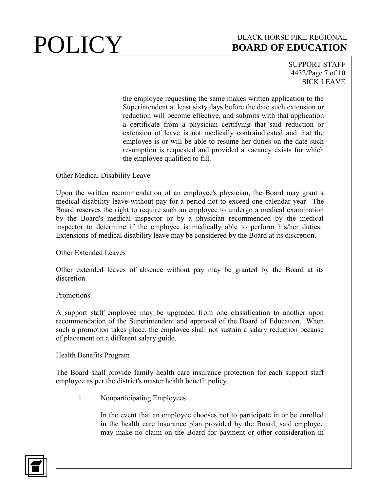SUPPORT STAFF 4432/Page 7 of 10 SICK LEAVE

the employee requesting the same makes written application to the Superintendent at least sixty days before the date such extension or reduction will become effective, and submits with that application a certificate from a physician certifying that said reduction or extension of leave is not medically contraindicated and that the employee is or will be able to resume her duties on the date such resumption is requested and provided a vacancy exists for which the employee qualified to fill.

Other Medical Disability Leave

Upon the written recommendation of an employee's physician, the Board may grant a medical disability leave without pay for a period not to exceed one calendar year. The Board reserves the right to require such an employee to undergo a medical examination by the Board's medical inspector or by a physician recommended by the medical inspector to determine if the employee is medically able to perform his/her duties. Extensions of medical disability leave may be considered by the Board at its discretion.

### Other Extended Leaves

Other extended leaves of absence without pay may be granted by the Board at its discretion.

### Promotions

A support staff employee may be upgraded from one classification to another upon recommendation of the Superintendent and approval of the Board of Education. When such a promotion takes place, the employee shall not sustain a salary reduction because of placement on a different salary guide.

### Health Benefits Program

The Board shall provide family health care insurance protection for each support staff employee as per the district's master health benefit policy.

1. Nonparticipating Employees

In the event that an employee chooses not to participate in or be enrolled in the health care insurance plan provided by the Board, said employee may make no claim on the Board for payment or other consideration in

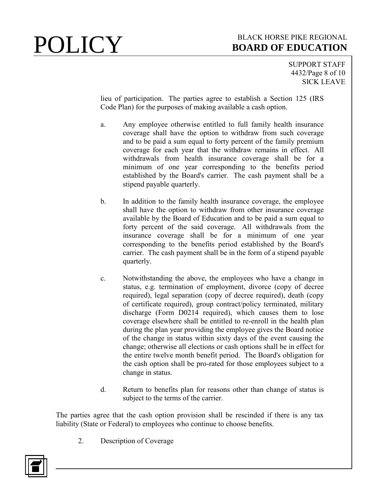# **POLICY** BOARD OF EDUCATION **BOARD OF EDUCATION**

SUPPORT STAFF 4432/Page 8 of 10 SICK LEAVE

lieu of participation. The parties agree to establish a Section 125 (IRS Code Plan) for the purposes of making available a cash option.

- a. Any employee otherwise entitled to full family health insurance coverage shall have the option to withdraw from such coverage and to be paid a sum equal to forty percent of the family premium coverage for each year that the withdraw remains in effect. All withdrawals from health insurance coverage shall be for a minimum of one year corresponding to the benefits period established by the Board's carrier. The cash payment shall be a stipend payable quarterly.
- b. In addition to the family health insurance coverage, the employee shall have the option to withdraw from other insurance coverage available by the Board of Education and to be paid a sum equal to forty percent of the said coverage. All withdrawals from the insurance coverage shall be for a minimum of one year corresponding to the benefits period established by the Board's carrier. The cash payment shall be in the form of a stipend payable quarterly.
- c. Notwithstanding the above, the employees who have a change in status, e.g. termination of employment, divorce (copy of decree required), legal separation (copy of decree required), death (copy of certificate required), group contract/policy terminated, military discharge (Form D0214 required), which causes them to lose coverage elsewhere shall be entitled to re-enroll in the health plan during the plan year providing the employee gives the Board notice of the change in status within sixty days of the event causing the change; otherwise all elections or cash options shall be in effect for the entire twelve month benefit period. The Board's obligation for the cash option shall be pro-rated for those employees subject to a change in status.
- d. Return to benefits plan for reasons other than change of status is subject to the terms of the carrier.

The parties agree that the cash option provision shall be rescinded if there is any tax liability (State or Federal) to employees who continue to choose benefits.

2. Description of Coverage

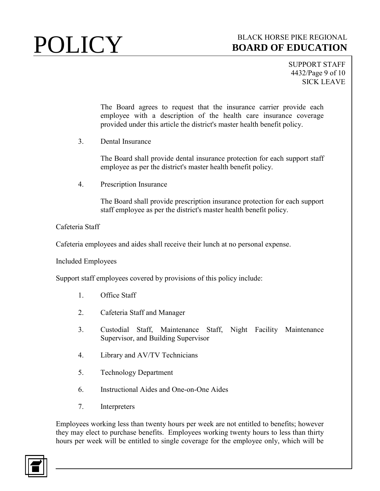SUPPORT STAFF 4432/Page 9 of 10 SICK LEAVE

The Board agrees to request that the insurance carrier provide each employee with a description of the health care insurance coverage provided under this article the district's master health benefit policy.

3. Dental Insurance

The Board shall provide dental insurance protection for each support staff employee as per the district's master health benefit policy.

4. Prescription Insurance

The Board shall provide prescription insurance protection for each support staff employee as per the district's master health benefit policy.

### Cafeteria Staff

Cafeteria employees and aides shall receive their lunch at no personal expense.

Included Employees

Support staff employees covered by provisions of this policy include:

- 1. Office Staff
- 2. Cafeteria Staff and Manager
- 3. Custodial Staff, Maintenance Staff, Night Facility Maintenance Supervisor, and Building Supervisor
- 4. Library and AV/TV Technicians
- 5. Technology Department
- 6. Instructional Aides and One-on-One Aides
- 7. Interpreters

Employees working less than twenty hours per week are not entitled to benefits; however they may elect to purchase benefits. Employees working twenty hours to less than thirty hours per week will be entitled to single coverage for the employee only, which will be